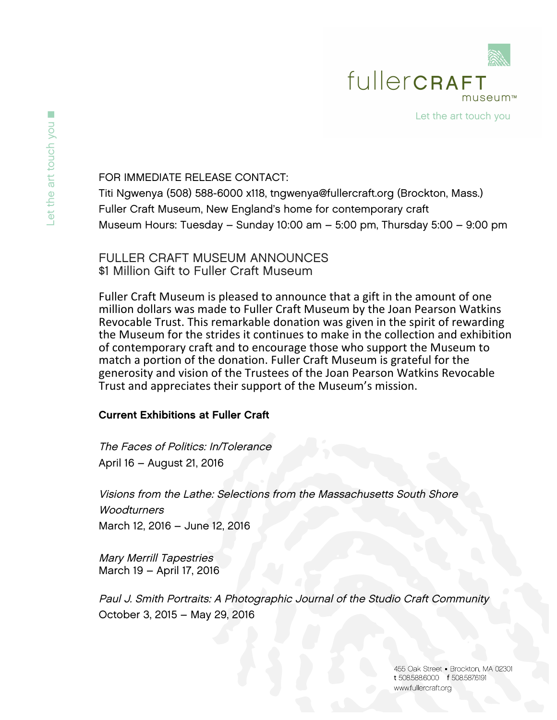

FOR IMMEDIATE RELEASE CONTACT:

Titi Ngwenya (508) 588-6000 x118, tngwenya@fullercraft.org (Brockton, Mass.) Fuller Craft Museum, New England's home for contemporary craft Museum Hours: Tuesday – Sunday 10:00 am – 5:00 pm, Thursday 5:00 – 9:00 pm

FULLER CRAFT MUSEUM ANNOUNCES \$1 Million Gift to Fuller Craft Museum

Fuller Craft Museum is pleased to announce that a gift in the amount of one million dollars was made to Fuller Craft Museum by the Joan Pearson Watkins Revocable Trust. This remarkable donation was given in the spirit of rewarding the Museum for the strides it continues to make in the collection and exhibition of contemporary craft and to encourage those who support the Museum to match a portion of the donation. Fuller Craft Museum is grateful for the generosity and vision of the Trustees of the Joan Pearson Watkins Revocable Trust and appreciates their support of the Museum's mission.

## Current Exhibitions at Fuller Craft

The Faces of Politics: In/Tolerance April 16 – August 21, 2016

Visions from the Lathe: Selections from the Massachusetts South Shore **Woodturners** March 12, 2016 – June 12, 2016

Mary Merrill Tapestries March 19 – April 17, 2016

Paul J. Smith Portraits: A Photographic Journal of the Studio Craft Community October 3, 2015 – May 29, 2016

> 455 Oak Street - Brockton, MA 02301 t 508,588,6000 f 508,587,6191 www.fullercraft.org